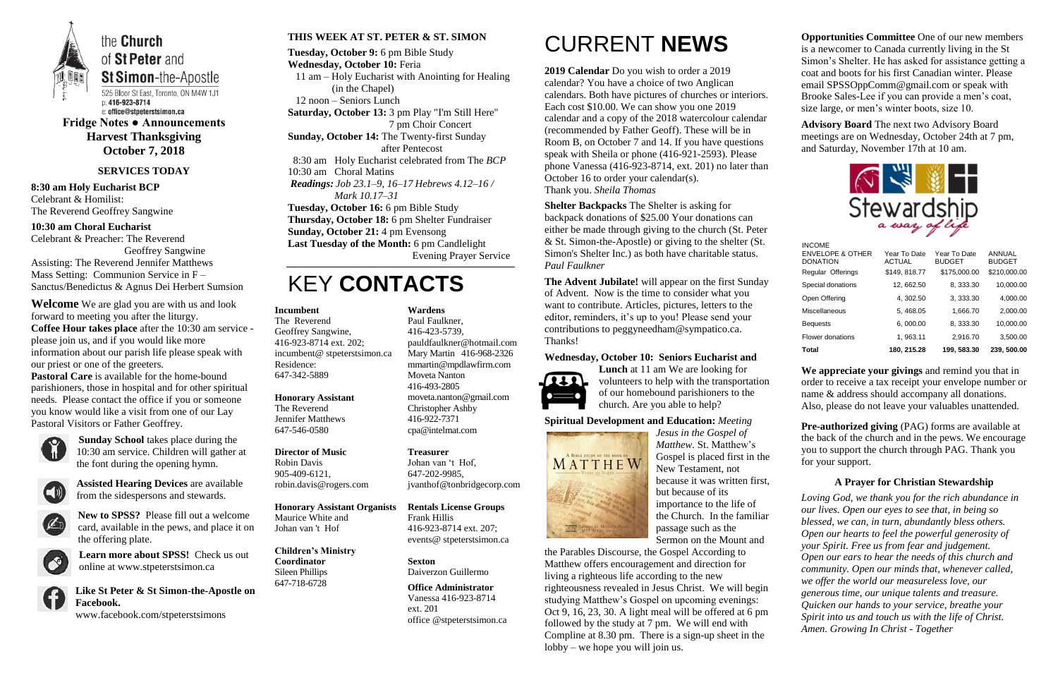

the **Church** of St Peter and **St Simon-the-Apostle** 

525 Bloor St East, Toronto, ON M4W 1J1 p: 416-923-8714 e: office@stpeterstsimon.ca

**Fridge Notes ● Announcements Harvest Thanksgiving October 7, 2018**

### **SERVICES TODAY**

**8:30 am Holy Eucharist BCP** Celebrant & Homilist: The Reverend Geoffrey Sangwine

**10:30 am Choral Eucharist** Celebrant & Preacher: The Reverend

Geoffrey Sangwine Assisting: The Reverend Jennifer Matthews Mass Setting: Communion Service in F – Sanctus/Benedictus & Agnus Dei Herbert Sumsion

**Welcome** We are glad you are with us and look forward to meeting you after the liturgy. **Coffee Hour takes place** after the 10:30 am service please join us, and if you would like more information about our parish life please speak with our priest or one of the greeters.

**Pastoral Care** is available for the home-bound parishioners, those in hospital and for other spiritual needs. Please contact the office if you or someone you know would like a visit from one of our Lay Pastoral Visitors or Father Geoffrey.



**Sunday School** takes place during the 10:30 am service. Children will gather at the font during the opening hymn.



**Assisted Hearing Devices** are available from the sidespersons and stewards.



**New to SPSS?** Please fill out a welcome card, available in the pews, and place it on the offering plate.



**Learn more about SPSS!** Check us out online at www.stpeterstsimon.ca

**Like St Peter & St Simon-the-Apostle on Facebook.**  www.facebook.com/stpeterstsimons

#### **THIS WEEK AT ST. PETER & ST. SIMON**

**Tuesday, October 9:** 6 pm Bible Study **Wednesday, October 10:** Feria 11 am – Holy Eucharist with Anointing for Healing (in the Chapel) 12 noon – Seniors Lunch **Saturday, October 13:** 3 pm Play "I'm Still Here" 7 pm Choir Concert **Sunday, October 14:** The Twenty-first Sunday after Pentecost 8:30 am Holy Eucharist celebrated from The *BCP* 10:30 am Choral Matins *Readings: Job 23.1–9, 16–17 Hebrews 4.12–16 / Mark 10.17–31* **Tuesday, October 16:** 6 pm Bible Study **Thursday, October 18:** 6 pm Shelter Fundraiser **Sunday, October 21:** 4 pm Evensong **Last Tuesday of the Month:** 6 pm Candlelight Evening Prayer Service

### KEY **CONTACTS**

# CURRENT **NEWS**

**2019 Calendar** Do you wish to order a 2019 calendar? You have a choice of two Anglican calendars. Both have pictures of churches or interiors. Each cost \$10.00. We can show you one 2019 calendar and a copy of the 2018 watercolour calendar (recommended by Father Geoff). These will be in Room B, on October 7 and 14. If you have questions speak with Sheila or phone (416-921-2593). Please phone Vanessa (416-923-8714, ext. 201) no later than October 16 to order your calendar(s). Thank you. *Sheila Thomas*

> **Pre-authorized giving (PAG) forms are available at** the back of the church and in the pews. We encourage you to support the church through PAG. Thank you for your support.

**Shelter Backpacks** The Shelter is asking for backpack donations of \$25.00 Your donations can either be made through giving to the church (St. Peter & St. Simon-the-Apostle) or giving to the shelter (St. Simon's Shelter Inc.) as both have charitable status. *Paul Faulkner*

**The Advent Jubilate!** will appear on the first Sunday of Advent. Now is the time to consider what you want to contribute. Articles, pictures, letters to the editor, reminders, it's up to you! Please send your contributions to peggyneedham@sympatico.ca. Thanks!

#### **Wednesday, October 10: Seniors Eucharist and**



**Lunch** at 11 am We are looking for volunteers to help with the transportation of our homebound parishioners to the church. Are you able to help?

**Spiritual Development and Education:** *Meeting* 



*Jesus in the Gospel of Matthew.* St. Matthew's Gospel is placed first in the New Testament, not because it was written first, but because of its importance to the life of the Church. In the familiar passage such as the Sermon on the Mount and

the Parables Discourse, the Gospel According to Matthew offers encouragement and direction for living a righteous life according to the new righteousness revealed in Jesus Christ. We will begin studying Matthew's Gospel on upcoming evenings: Oct 9, 16, 23, 30. A light meal will be offered at 6 pm followed by the study at 7 pm. We will end with Compline at 8.30 pm. There is a sign-up sheet in the lobby – we hope you will join us.

**Opportunities Committee** One of our new members is a newcomer to Canada currently living in the St Simon's Shelter. He has asked for assistance getting a coat and boots for his first Canadian winter. Please email SPSSOppComm@gmail.com or speak with Brooke Sales-Lee if you can provide a men's coat, size large, or men's winter boots, size 10.

**Advisory Board** The next two Advisory Board meetings are on Wednesday, October 24th at 7 pm, and Saturday, November 17th at 10 am.



**We appreciate your givings** and remind you that in order to receive a tax receipt your envelope number or name & address should accompany all donations. Also, please do not leave your valuables unattended.

### **A Prayer for Christian Stewardship**

*Loving God, we thank you for the rich abundance in our lives. Open our eyes to see that, in being so blessed, we can, in turn, abundantly bless others. Open our hearts to feel the powerful generosity of your Spirit. Free us from fear and judgement. Open our ears to hear the needs of this church and community. Open our minds that, whenever called, we offer the world our measureless love, our generous time, our unique talents and treasure. Quicken our hands to your service, breathe your Spirit into us and touch us with the life of Christ. Amen. Growing In Christ - Together*

**Incumbent** 

The Reverend Geoffrey Sangwine, 416-923-8714 ext. 202; incumbent@ stpeterstsimon.ca Residence: 647-342-5889

**Honorary Assistant** The Reverend Jennifer Matthews 647-546-0580

### **Director of Music**

Robin Davis 905-409-6121, robin.davis@rogers.com

**Honorary Assistant Organists** 

Maurice White and Johan van 't Hof

#### **Children's Ministry Coordinator** Sileen Phillips 647-718-6728

**Wardens**  Paul Faulkner,

416-423-5739, [pauldfaulkner@hotmail.com](mailto:pauldfaulkner@hotmail.com)  Mary Martin 416-968-2326 mmartin@mpdlawfirm.com Moveta Nanton 416-493-2805 moveta.nanton@gmail.com Christopher Ashby 416-922-7371 cpa@intelmat.com

**Treasurer**  Johan van 't Hof, 647-202-9985, jvanthof@tonbridgecorp.com

**Rentals License Groups** Frank Hillis 416-923-8714 ext. 207; events@ stpeterstsimon.ca

**Sexton** Daiverzon Guillermo

**Office Administrator** Vanessa 416-923-8714 ext. 201 office @stpeterstsimon.ca INCOME

| <b>Total</b>                                                    | 180.215.28                    | 199.583.30                    | 239, 500.00                    |
|-----------------------------------------------------------------|-------------------------------|-------------------------------|--------------------------------|
| Flower donations                                                | 1, 963.11                     | 2,916.70                      | 3,500.00                       |
| <b>Bequests</b>                                                 | 6,000.00                      | 8, 333.30                     | 10,000.00                      |
| <b>Miscellaneous</b>                                            | 5, 468.05                     | 1,666.70                      | 2,000.00                       |
| Open Offering                                                   | 4, 302.50                     | 3, 333.30                     | 4,000.00                       |
| Special donations                                               | 12, 662.50                    | 8, 333.30                     | 10,000.00                      |
| Regular Offerings                                               | \$149, 818.77                 | \$175,000.00                  | \$210,000.00                   |
| <b>INUUME</b><br><b>ENVELOPE &amp; OTHER</b><br><b>DONATION</b> | Year To Date<br><b>ACTUAL</b> | Year To Date<br><b>BUDGET</b> | <b>ANNUAL</b><br><b>BUDGET</b> |